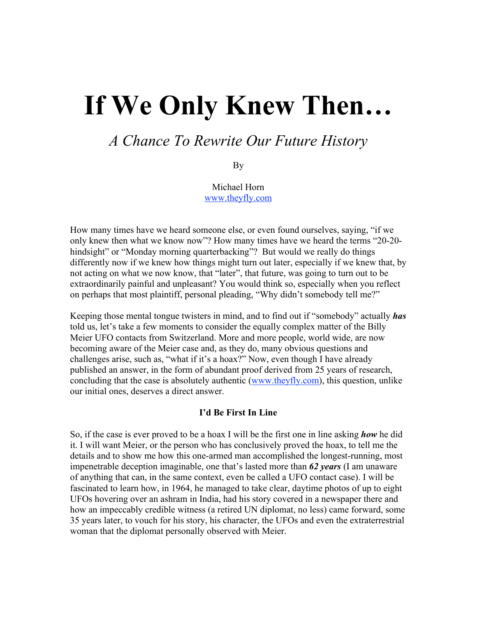# If We Only Knew Then…

## *A Chance To Rewrite Our Future History*

By

Michael Horn www.theyfly.com

How many times have we heard someone else, or even found ourselves, saying, "if we only knew then what we know now"? How many times have we heard the terms "20-20 hindsight" or "Monday morning quarterbacking"? But would we really do things differently now if we knew how things might turn out later, especially if we knew that, by not acting on what we now know, that "later", that future, was going to turn out to be extraordinarily painful and unpleasant? You would think so, especially when you reflect on perhaps that most plaintiff, personal pleading, "Why didn't somebody tell me?"

Keeping those mental tongue twisters in mind, and to find out if "somebody" actually *has* told us, let's take a few moments to consider the equally complex matter of the Billy Meier UFO contacts from Switzerland. More and more people, world wide, are now becoming aware of the Meier case and, as they do, many obvious questions and challenges arise, such as, "what if it's a hoax?" Now, even though I have already published an answer, in the form of abundant proof derived from 25 years of research, concluding that the case is absolutely authentic (www.theyfly.com), this question, unlike our initial ones, deserves a direct answer.

## I'd Be First In Line

So, if the case is ever proved to be a hoax I will be the first one in line asking *how* he did it. I will want Meier, or the person who has conclusively proved the hoax, to tell me the details and to show me how this one-armed man accomplished the longest-running, most impenetrable deception imaginable, one that's lasted more than *62 years* (I am unaware of anything that can, in the same context, even be called a UFO contact case). I will be fascinated to learn how, in 1964, he managed to take clear, daytime photos of up to eight UFOs hovering over an ashram in India, had his story covered in a newspaper there and how an impeccably credible witness (a retired UN diplomat, no less) came forward, some 35 years later, to vouch for his story, his character, the UFOs and even the extraterrestrial woman that the diplomat personally observed with Meier.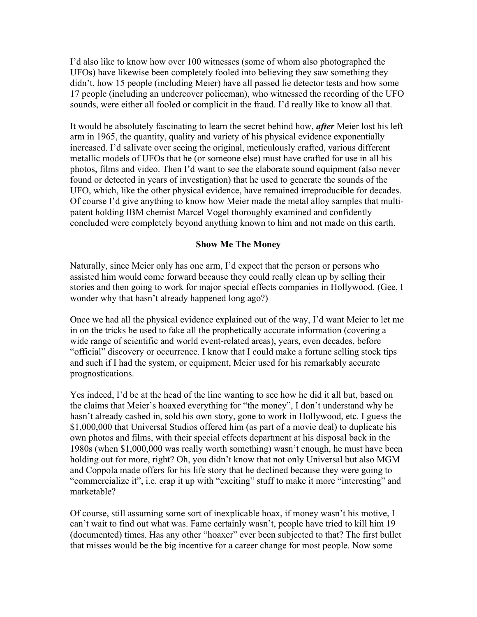I'd also like to know how over 100 witnesses (some of whom also photographed the UFOs) have likewise been completely fooled into believing they saw something they didn't, how 15 people (including Meier) have all passed lie detector tests and how some 17 people (including an undercover policeman), who witnessed the recording of the UFO sounds, were either all fooled or complicit in the fraud. I'd really like to know all that.

It would be absolutely fascinating to learn the secret behind how, *after* Meier lost his left arm in 1965, the quantity, quality and variety of his physical evidence exponentially increased. I'd salivate over seeing the original, meticulously crafted, various different metallic models of UFOs that he (or someone else) must have crafted for use in all his photos, films and video. Then I'd want to see the elaborate sound equipment (also never found or detected in years of investigation) that he used to generate the sounds of the UFO, which, like the other physical evidence, have remained irreproducible for decades. Of course I'd give anything to know how Meier made the metal alloy samples that multipatent holding IBM chemist Marcel Vogel thoroughly examined and confidently concluded were completely beyond anything known to him and not made on this earth.

## Show Me The Money

Naturally, since Meier only has one arm, I'd expect that the person or persons who assisted him would come forward because they could really clean up by selling their stories and then going to work for major special effects companies in Hollywood. (Gee, I wonder why that hasn't already happened long ago?)

Once we had all the physical evidence explained out of the way, I'd want Meier to let me in on the tricks he used to fake all the prophetically accurate information (covering a wide range of scientific and world event-related areas), years, even decades, before "official" discovery or occurrence. I know that I could make a fortune selling stock tips and such if I had the system, or equipment, Meier used for his remarkably accurate prognostications.

Yes indeed, I'd be at the head of the line wanting to see how he did it all but, based on the claims that Meier's hoaxed everything for "the money", I don't understand why he hasn't already cashed in, sold his own story, gone to work in Hollywood, etc. I guess the \$1,000,000 that Universal Studios offered him (as part of a movie deal) to duplicate his own photos and films, with their special effects department at his disposal back in the 1980s (when \$1,000,000 was really worth something) wasn't enough, he must have been holding out for more, right? Oh, you didn't know that not only Universal but also MGM and Coppola made offers for his life story that he declined because they were going to "commercialize it", i.e. crap it up with "exciting" stuff to make it more "interesting" and marketable?

Of course, still assuming some sort of inexplicable hoax, if money wasn't his motive, I can't wait to find out what was. Fame certainly wasn't, people have tried to kill him 19 (documented) times. Has any other "hoaxer" ever been subjected to that? The first bullet that misses would be the big incentive for a career change for most people. Now some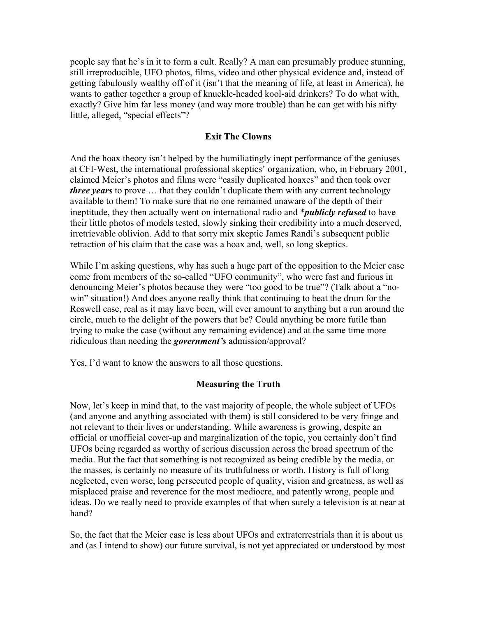people say that he's in it to form a cult. Really? A man can presumably produce stunning, still irreproducible, UFO photos, films, video and other physical evidence and, instead of getting fabulously wealthy off of it (isn't that the meaning of life, at least in America), he wants to gather together a group of knuckle-headed kool-aid drinkers? To do what with, exactly? Give him far less money (and way more trouble) than he can get with his nifty little, alleged, "special effects"?

#### Exit The Clowns

And the hoax theory isn't helped by the humiliatingly inept performance of the geniuses at CFI-West, the international professional skeptics' organization, who, in February 2001, claimed Meier's photos and films were "easily duplicated hoaxes" and then took over *three years* to prove ... that they couldn't duplicate them with any current technology available to them! To make sure that no one remained unaware of the depth of their ineptitude, they then actually went on international radio and \**publicly refused* to have their little photos of models tested, slowly sinking their credibility into a much deserved, irretrievable oblivion. Add to that sorry mix skeptic James Randi's subsequent public retraction of his claim that the case was a hoax and, well, so long skeptics.

While I'm asking questions, why has such a huge part of the opposition to the Meier case come from members of the so-called "UFO community", who were fast and furious in denouncing Meier's photos because they were "too good to be true"? (Talk about a "nowin" situation!) And does anyone really think that continuing to beat the drum for the Roswell case, real as it may have been, will ever amount to anything but a run around the circle, much to the delight of the powers that be? Could anything be more futile than trying to make the case (without any remaining evidence) and at the same time more ridiculous than needing the *government's* admission/approval?

Yes, I'd want to know the answers to all those questions.

## Measuring the Truth

Now, let's keep in mind that, to the vast majority of people, the whole subject of UFOs (and anyone and anything associated with them) is still considered to be very fringe and not relevant to their lives or understanding. While awareness is growing, despite an official or unofficial cover-up and marginalization of the topic, you certainly don't find UFOs being regarded as worthy of serious discussion across the broad spectrum of the media. But the fact that something is not recognized as being credible by the media, or the masses, is certainly no measure of its truthfulness or worth. History is full of long neglected, even worse, long persecuted people of quality, vision and greatness, as well as misplaced praise and reverence for the most mediocre, and patently wrong, people and ideas. Do we really need to provide examples of that when surely a television is at near at hand?

So, the fact that the Meier case is less about UFOs and extraterrestrials than it is about us and (as I intend to show) our future survival, is not yet appreciated or understood by most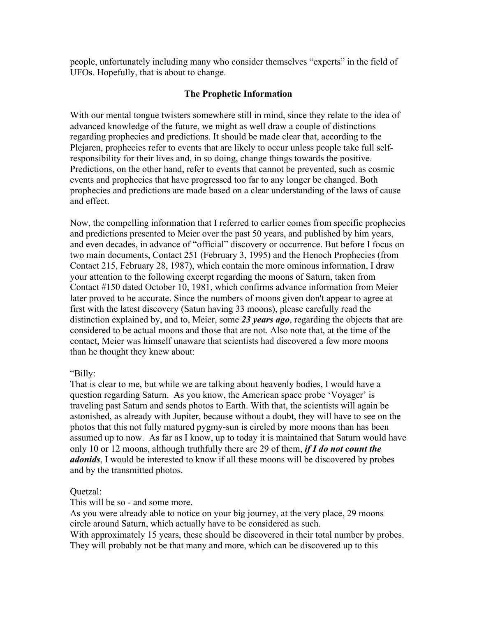people, unfortunately including many who consider themselves "experts" in the field of UFOs. Hopefully, that is about to change.

## The Prophetic Information

With our mental tongue twisters somewhere still in mind, since they relate to the idea of advanced knowledge of the future, we might as well draw a couple of distinctions regarding prophecies and predictions. It should be made clear that, according to the Plejaren, prophecies refer to events that are likely to occur unless people take full selfresponsibility for their lives and, in so doing, change things towards the positive. Predictions, on the other hand, refer to events that cannot be prevented, such as cosmic events and prophecies that have progressed too far to any longer be changed. Both prophecies and predictions are made based on a clear understanding of the laws of cause and effect.

Now, the compelling information that I referred to earlier comes from specific prophecies and predictions presented to Meier over the past 50 years, and published by him years, and even decades, in advance of "official" discovery or occurrence. But before I focus on two main documents, Contact 251 (February 3, 1995) and the Henoch Prophecies (from Contact 215, February 28, 1987), which contain the more ominous information, I draw your attention to the following excerpt regarding the moons of Saturn, taken from Contact #150 dated October 10, 1981, which confirms advance information from Meier later proved to be accurate. Since the numbers of moons given don't appear to agree at first with the latest discovery (Satun having 33 moons), please carefully read the distinction explained by, and to, Meier, some *23 years ago*, regarding the objects that are considered to be actual moons and those that are not. Also note that, at the time of the contact, Meier was himself unaware that scientists had discovered a few more moons than he thought they knew about:

## "Billy:

That is clear to me, but while we are talking about heavenly bodies, I would have a question regarding Saturn. As you know, the American space probe 'Voyager' is traveling past Saturn and sends photos to Earth. With that, the scientists will again be astonished, as already with Jupiter, because without a doubt, they will have to see on the photos that this not fully matured pygmy-sun is circled by more moons than has been assumed up to now. As far as I know, up to today it is maintained that Saturn would have only 10 or 12 moons, although truthfully there are 29 of them, *if I do not count the adonids*, I would be interested to know if all these moons will be discovered by probes and by the transmitted photos.

## Quetzal:

This will be so - and some more.

As you were already able to notice on your big journey, at the very place, 29 moons circle around Saturn, which actually have to be considered as such. With approximately 15 years, these should be discovered in their total number by probes. They will probably not be that many and more, which can be discovered up to this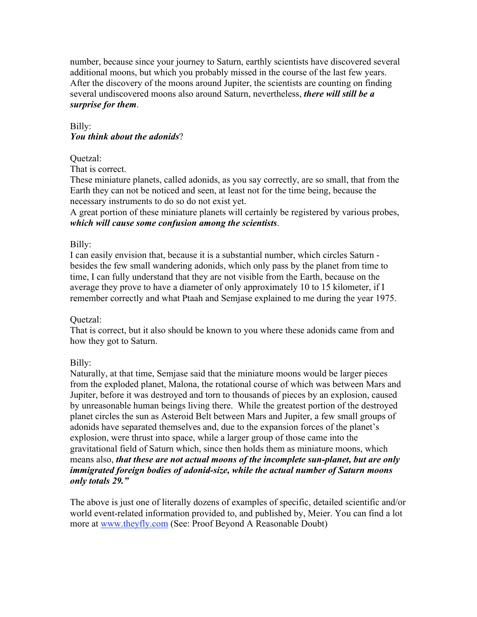number, because since your journey to Saturn, earthly scientists have discovered several additional moons, but which you probably missed in the course of the last few years. After the discovery of the moons around Jupiter, the scientists are counting on finding several undiscovered moons also around Saturn, nevertheless, *there will still be a surprise for them*.

## Billy: *You think about the adonids*?

## Quetzal:

That is correct.

These miniature planets, called adonids, as you say correctly, are so small, that from the Earth they can not be noticed and seen, at least not for the time being, because the necessary instruments to do so do not exist yet.

A great portion of these miniature planets will certainly be registered by various probes, *which will cause some confusion among the scientists*.

## Billy:

I can easily envision that, because it is a substantial number, which circles Saturn besides the few small wandering adonids, which only pass by the planet from time to time, I can fully understand that they are not visible from the Earth, because on the average they prove to have a diameter of only approximately 10 to 15 kilometer, if I remember correctly and what Ptaah and Semjase explained to me during the year 1975.

## Quetzal:

That is correct, but it also should be known to you where these adonids came from and how they got to Saturn.

## Billy:

Naturally, at that time, Semjase said that the miniature moons would be larger pieces from the exploded planet, Malona, the rotational course of which was between Mars and Jupiter, before it was destroyed and torn to thousands of pieces by an explosion, caused by unreasonable human beings living there. While the greatest portion of the destroyed planet circles the sun as Asteroid Belt between Mars and Jupiter, a few small groups of adonids have separated themselves and, due to the expansion forces of the planet's explosion, were thrust into space, while a larger group of those came into the gravitational field of Saturn which, since then holds them as miniature moons, which means also, *that these are not actual moons of the incomplete sun-planet, but are only immigrated foreign bodies of adonid-size, while the actual number of Saturn moons only totals 29."*

The above is just one of literally dozens of examples of specific, detailed scientific and/or world event-related information provided to, and published by, Meier. You can find a lot more at www.theyfly.com (See: Proof Beyond A Reasonable Doubt)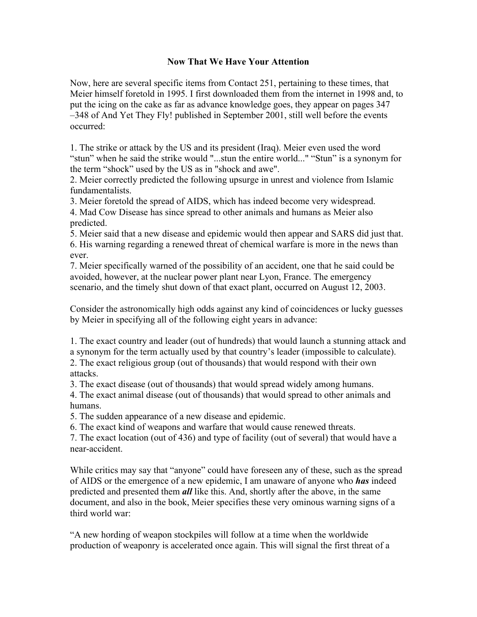## Now That We Have Your Attention

Now, here are several specific items from Contact 251, pertaining to these times, that Meier himself foretold in 1995. I first downloaded them from the internet in 1998 and, to put the icing on the cake as far as advance knowledge goes, they appear on pages 347 –348 of And Yet They Fly! published in September 2001, still well before the events occurred:

1. The strike or attack by the US and its president (Iraq). Meier even used the word "stun" when he said the strike would "...stun the entire world..." "Stun" is a synonym for the term "shock" used by the US as in "shock and awe".

2. Meier correctly predicted the following upsurge in unrest and violence from Islamic fundamentalists.

3. Meier foretold the spread of AIDS, which has indeed become very widespread. 4. Mad Cow Disease has since spread to other animals and humans as Meier also predicted.

5. Meier said that a new disease and epidemic would then appear and SARS did just that. 6. His warning regarding a renewed threat of chemical warfare is more in the news than ever.

7. Meier specifically warned of the possibility of an accident, one that he said could be avoided, however, at the nuclear power plant near Lyon, France. The emergency scenario, and the timely shut down of that exact plant, occurred on August 12, 2003.

Consider the astronomically high odds against any kind of coincidences or lucky guesses by Meier in specifying all of the following eight years in advance:

1. The exact country and leader (out of hundreds) that would launch a stunning attack and a synonym for the term actually used by that country's leader (impossible to calculate). 2. The exact religious group (out of thousands) that would respond with their own attacks.

3. The exact disease (out of thousands) that would spread widely among humans.

4. The exact animal disease (out of thousands) that would spread to other animals and humans.

5. The sudden appearance of a new disease and epidemic.

6. The exact kind of weapons and warfare that would cause renewed threats.

7. The exact location (out of 436) and type of facility (out of several) that would have a near-accident.

While critics may say that "anyone" could have foreseen any of these, such as the spread of AIDS or the emergence of a new epidemic, I am unaware of anyone who *has* indeed predicted and presented them *all* like this. And, shortly after the above, in the same document, and also in the book, Meier specifies these very ominous warning signs of a third world war:

"A new hording of weapon stockpiles will follow at a time when the worldwide production of weaponry is accelerated once again. This will signal the first threat of a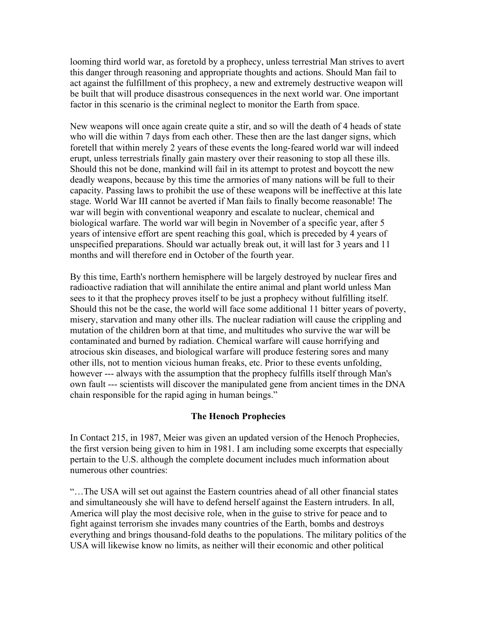looming third world war, as foretold by a prophecy, unless terrestrial Man strives to avert this danger through reasoning and appropriate thoughts and actions. Should Man fail to act against the fulfillment of this prophecy, a new and extremely destructive weapon will be built that will produce disastrous consequences in the next world war. One important factor in this scenario is the criminal neglect to monitor the Earth from space.

New weapons will once again create quite a stir, and so will the death of 4 heads of state who will die within 7 days from each other. These then are the last danger signs, which foretell that within merely 2 years of these events the long-feared world war will indeed erupt, unless terrestrials finally gain mastery over their reasoning to stop all these ills. Should this not be done, mankind will fail in its attempt to protest and boycott the new deadly weapons, because by this time the armories of many nations will be full to their capacity. Passing laws to prohibit the use of these weapons will be ineffective at this late stage. World War III cannot be averted if Man fails to finally become reasonable! The war will begin with conventional weaponry and escalate to nuclear, chemical and biological warfare. The world war will begin in November of a specific year, after 5 years of intensive effort are spent reaching this goal, which is preceded by 4 years of unspecified preparations. Should war actually break out, it will last for 3 years and 11 months and will therefore end in October of the fourth year.

By this time, Earth's northern hemisphere will be largely destroyed by nuclear fires and radioactive radiation that will annihilate the entire animal and plant world unless Man sees to it that the prophecy proves itself to be just a prophecy without fulfilling itself. Should this not be the case, the world will face some additional 11 bitter years of poverty, misery, starvation and many other ills. The nuclear radiation will cause the crippling and mutation of the children born at that time, and multitudes who survive the war will be contaminated and burned by radiation. Chemical warfare will cause horrifying and atrocious skin diseases, and biological warfare will produce festering sores and many other ills, not to mention vicious human freaks, etc. Prior to these events unfolding, however --- always with the assumption that the prophecy fulfills itself through Man's own fault --- scientists will discover the manipulated gene from ancient times in the DNA chain responsible for the rapid aging in human beings."

## The Henoch Prophecies

In Contact 215, in 1987, Meier was given an updated version of the Henoch Prophecies, the first version being given to him in 1981. I am including some excerpts that especially pertain to the U.S. although the complete document includes much information about numerous other countries:

"…The USA will set out against the Eastern countries ahead of all other financial states and simultaneously she will have to defend herself against the Eastern intruders. In all, America will play the most decisive role, when in the guise to strive for peace and to fight against terrorism she invades many countries of the Earth, bombs and destroys everything and brings thousand-fold deaths to the populations. The military politics of the USA will likewise know no limits, as neither will their economic and other political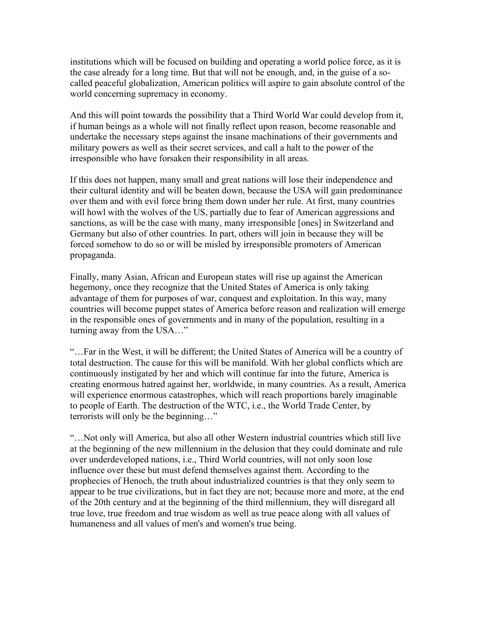institutions which will be focused on building and operating a world police force, as it is the case already for a long time. But that will not be enough, and, in the guise of a socalled peaceful globalization, American politics will aspire to gain absolute control of the world concerning supremacy in economy.

And this will point towards the possibility that a Third World War could develop from it, if human beings as a whole will not finally reflect upon reason, become reasonable and undertake the necessary steps against the insane machinations of their governments and military powers as well as their secret services, and call a halt to the power of the irresponsible who have forsaken their responsibility in all areas.

If this does not happen, many small and great nations will lose their independence and their cultural identity and will be beaten down, because the USA will gain predominance over them and with evil force bring them down under her rule. At first, many countries will howl with the wolves of the US, partially due to fear of American aggressions and sanctions, as will be the case with many, many irresponsible [ones] in Switzerland and Germany but also of other countries. In part, others will join in because they will be forced somehow to do so or will be misled by irresponsible promoters of American propaganda.

Finally, many Asian, African and European states will rise up against the American hegemony, once they recognize that the United States of America is only taking advantage of them for purposes of war, conquest and exploitation. In this way, many countries will become puppet states of America before reason and realization will emerge in the responsible ones of governments and in many of the population, resulting in a turning away from the USA…"

"…Far in the West, it will be different; the United States of America will be a country of total destruction. The cause for this will be manifold. With her global conflicts which are continuously instigated by her and which will continue far into the future, America is creating enormous hatred against her, worldwide, in many countries. As a result, America will experience enormous catastrophes, which will reach proportions barely imaginable to people of Earth. The destruction of the WTC, i.e., the World Trade Center, by terrorists will only be the beginning…"

"…Not only will America, but also all other Western industrial countries which still live at the beginning of the new millennium in the delusion that they could dominate and rule over underdeveloped nations, i.e., Third World countries, will not only soon lose influence over these but must defend themselves against them. According to the prophecies of Henoch, the truth about industrialized countries is that they only seem to appear to be true civilizations, but in fact they are not; because more and more, at the end of the 20th century and at the beginning of the third millennium, they will disregard all true love, true freedom and true wisdom as well as true peace along with all values of humaneness and all values of men's and women's true being.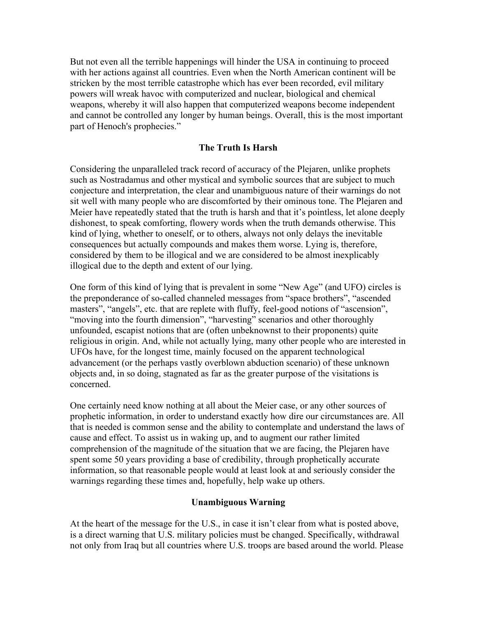But not even all the terrible happenings will hinder the USA in continuing to proceed with her actions against all countries. Even when the North American continent will be stricken by the most terrible catastrophe which has ever been recorded, evil military powers will wreak havoc with computerized and nuclear, biological and chemical weapons, whereby it will also happen that computerized weapons become independent and cannot be controlled any longer by human beings. Overall, this is the most important part of Henoch's prophecies."

## The Truth Is Harsh

Considering the unparalleled track record of accuracy of the Plejaren, unlike prophets such as Nostradamus and other mystical and symbolic sources that are subject to much conjecture and interpretation, the clear and unambiguous nature of their warnings do not sit well with many people who are discomforted by their ominous tone. The Plejaren and Meier have repeatedly stated that the truth is harsh and that it's pointless, let alone deeply dishonest, to speak comforting, flowery words when the truth demands otherwise. This kind of lying, whether to oneself, or to others, always not only delays the inevitable consequences but actually compounds and makes them worse. Lying is, therefore, considered by them to be illogical and we are considered to be almost inexplicably illogical due to the depth and extent of our lying.

One form of this kind of lying that is prevalent in some "New Age" (and UFO) circles is the preponderance of so-called channeled messages from "space brothers", "ascended masters", "angels", etc. that are replete with fluffy, feel-good notions of "ascension", "moving into the fourth dimension", "harvesting" scenarios and other thoroughly unfounded, escapist notions that are (often unbeknownst to their proponents) quite religious in origin. And, while not actually lying, many other people who are interested in UFOs have, for the longest time, mainly focused on the apparent technological advancement (or the perhaps vastly overblown abduction scenario) of these unknown objects and, in so doing, stagnated as far as the greater purpose of the visitations is concerned.

One certainly need know nothing at all about the Meier case, or any other sources of prophetic information, in order to understand exactly how dire our circumstances are. All that is needed is common sense and the ability to contemplate and understand the laws of cause and effect. To assist us in waking up, and to augment our rather limited comprehension of the magnitude of the situation that we are facing, the Plejaren have spent some 50 years providing a base of credibility, through prophetically accurate information, so that reasonable people would at least look at and seriously consider the warnings regarding these times and, hopefully, help wake up others.

## Unambiguous Warning

At the heart of the message for the U.S., in case it isn't clear from what is posted above, is a direct warning that U.S. military policies must be changed. Specifically, withdrawal not only from Iraq but all countries where U.S. troops are based around the world. Please